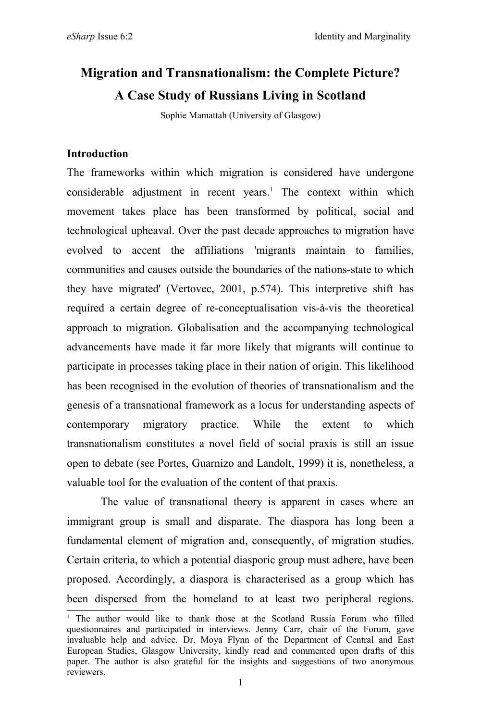# **Migration and Transnationalism: the Complete Picture? A Case Study of Russians Living in Scotland**

Sophie Mamattah (University of Glasgow)

#### **Introduction**

The frameworks within which migration is considered have undergone considerable adjustment in recent years. <sup>1</sup> The context within which movement takes place has been transformed by political, social and technological upheaval. Over the past decade approaches to migration have evolved to accent the affiliations 'migrants maintain to families, communities and causes outside the boundaries of the nations-state to which they have migrated' (Vertovec, 2001, p.574). This interpretive shift has required a certain degree of re-conceptualisation vis-à-vis the theoretical approach to migration. Globalisation and the accompanying technological advancements have made it far more likely that migrants will continue to participate in processes taking place in their nation of origin. This likelihood has been recognised in the evolution of theories of transnationalism and the genesis of a transnational framework as a locus for understanding aspects of contemporary migratory practice. While the extent to which transnationalism constitutes a novel field of social praxis is still an issue open to debate (see Portes, Guarnizo and Landolt, 1999) it is, nonetheless, a valuable tool for the evaluation of the content of that praxis.

The value of transnational theory is apparent in cases where an immigrant group is small and disparate. The diaspora has long been a fundamental element of migration and, consequently, of migration studies. Certain criteria, to which a potential diasporic group must adhere, have been proposed. Accordingly, a diaspora is characterised as a group which has been dispersed from the homeland to at least two peripheral regions.

<sup>&</sup>lt;sup>1</sup> The author would like to thank those at the Scotland Russia Forum who filled questionnaires and participated in interviews. Jenny Carr, chair of the Forum, gave invaluable help and advice. Dr. Moya Flynn of the Department of Central and East European Studies, Glasgow University, kindly read and commented upon drafts of this paper. The author is also grateful for the insights and suggestions of two anonymous reviewers.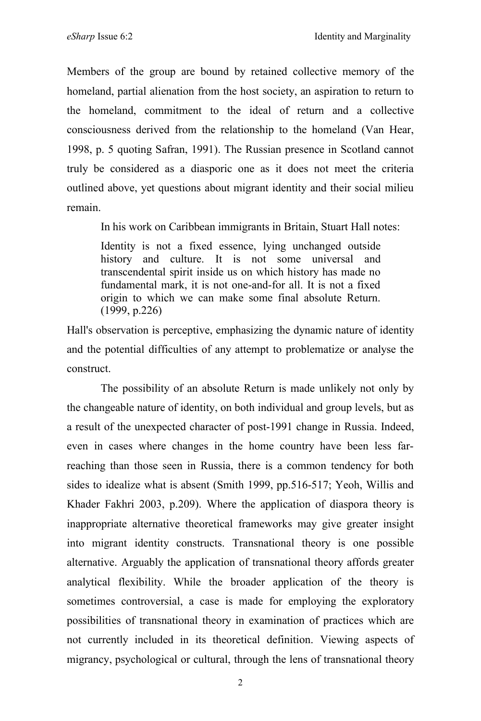Members of the group are bound by retained collective memory of the homeland, partial alienation from the host society, an aspiration to return to the homeland, commitment to the ideal of return and a collective consciousness derived from the relationship to the homeland (Van Hear, 1998, p. 5 quoting Safran, 1991). The Russian presence in Scotland cannot truly be considered as a diasporic one as it does not meet the criteria outlined above, yet questions about migrant identity and their social milieu remain.

In his work on Caribbean immigrants in Britain, Stuart Hall notes:

Identity is not a fixed essence, lying unchanged outside history and culture. It is not some universal and transcendental spirit inside us on which history has made no fundamental mark, it is not one-and-for all. It is not a fixed origin to which we can make some final absolute Return. (1999, p.226)

Hall's observation is perceptive, emphasizing the dynamic nature of identity and the potential difficulties of any attempt to problematize or analyse the construct.

The possibility of an absolute Return is made unlikely not only by the changeable nature of identity, on both individual and group levels, but as a result of the unexpected character of post-1991 change in Russia. Indeed, even in cases where changes in the home country have been less farreaching than those seen in Russia, there is a common tendency for both sides to idealize what is absent (Smith 1999, pp.516-517; Yeoh, Willis and Khader Fakhri 2003, p.209). Where the application of diaspora theory is inappropriate alternative theoretical frameworks may give greater insight into migrant identity constructs. Transnational theory is one possible alternative. Arguably the application of transnational theory affords greater analytical flexibility. While the broader application of the theory is sometimes controversial, a case is made for employing the exploratory possibilities of transnational theory in examination of practices which are not currently included in its theoretical definition. Viewing aspects of migrancy, psychological or cultural, through the lens of transnational theory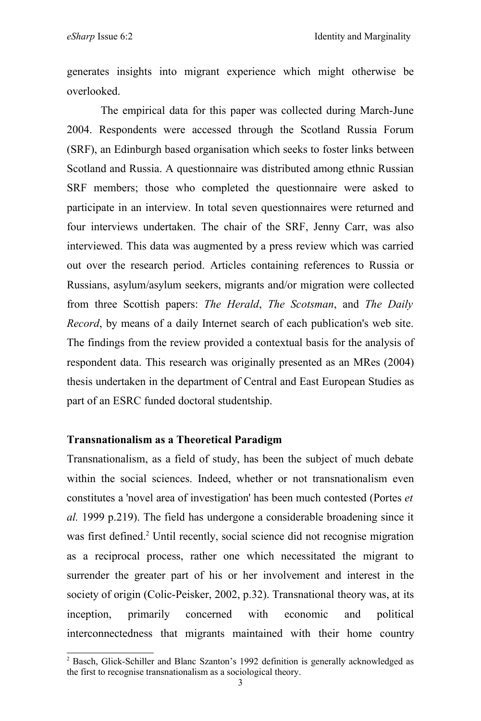generates insights into migrant experience which might otherwise be overlooked.

The empirical data for this paper was collected during March-June 2004. Respondents were accessed through the Scotland Russia Forum (SRF), an Edinburgh based organisation which seeks to foster links between Scotland and Russia. A questionnaire was distributed among ethnic Russian SRF members; those who completed the questionnaire were asked to participate in an interview. In total seven questionnaires were returned and four interviews undertaken. The chair of the SRF, Jenny Carr, was also interviewed. This data was augmented by a press review which was carried out over the research period. Articles containing references to Russia or Russians, asylum/asylum seekers, migrants and/or migration were collected from three Scottish papers: *The Herald*, *The Scotsman*, and *The Daily Record*, by means of a daily Internet search of each publication's web site. The findings from the review provided a contextual basis for the analysis of respondent data. This research was originally presented as an MRes (2004) thesis undertaken in the department of Central and East European Studies as part of an ESRC funded doctoral studentship.

#### **Transnationalism as a Theoretical Paradigm**

Transnationalism, as a field of study, has been the subject of much debate within the social sciences. Indeed, whether or not transnationalism even constitutes a 'novel area of investigation' has been much contested (Portes *et al.* 1999 p.219). The field has undergone a considerable broadening since it was first defined.<sup>2</sup> Until recently, social science did not recognise migration as a reciprocal process, rather one which necessitated the migrant to surrender the greater part of his or her involvement and interest in the society of origin (Colic-Peisker, 2002, p.32). Transnational theory was, at its inception, primarily concerned with economic and political interconnectedness that migrants maintained with their home country

<sup>2</sup> Basch, Glick-Schiller and Blanc Szanton's 1992 definition is generally acknowledged as the first to recognise transnationalism as a sociological theory.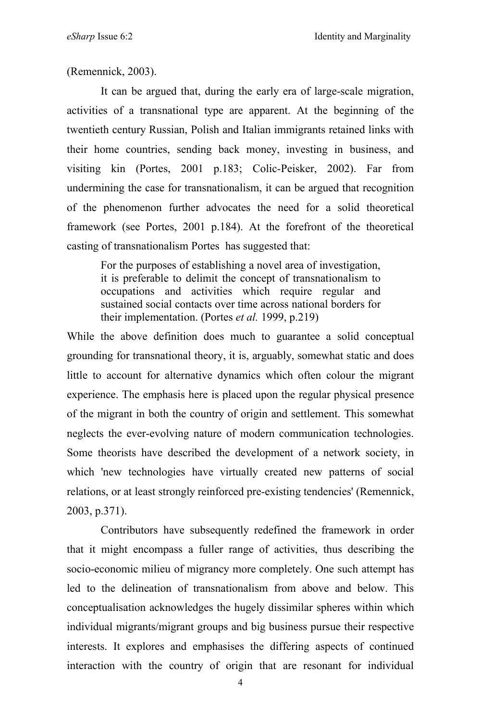(Remennick, 2003).

It can be argued that, during the early era of large-scale migration, activities of a transnational type are apparent. At the beginning of the twentieth century Russian, Polish and Italian immigrants retained links with their home countries, sending back money, investing in business, and visiting kin (Portes, 2001 p.183; Colic-Peisker, 2002). Far from undermining the case for transnationalism, it can be argued that recognition of the phenomenon further advocates the need for a solid theoretical framework (see Portes, 2001 p.184). At the forefront of the theoretical casting of transnationalism Portes has suggested that:

For the purposes of establishing a novel area of investigation, it is preferable to delimit the concept of transnationalism to occupations and activities which require regular and sustained social contacts over time across national borders for their implementation. (Portes *et al.* 1999, p.219)

While the above definition does much to guarantee a solid conceptual grounding for transnational theory, it is, arguably, somewhat static and does little to account for alternative dynamics which often colour the migrant experience. The emphasis here is placed upon the regular physical presence of the migrant in both the country of origin and settlement. This somewhat neglects the ever-evolving nature of modern communication technologies. Some theorists have described the development of a network society, in which 'new technologies have virtually created new patterns of social relations, or at least strongly reinforced pre-existing tendencies' (Remennick, 2003, p.371).

Contributors have subsequently redefined the framework in order that it might encompass a fuller range of activities, thus describing the socio-economic milieu of migrancy more completely. One such attempt has led to the delineation of transnationalism from above and below. This conceptualisation acknowledges the hugely dissimilar spheres within which individual migrants/migrant groups and big business pursue their respective interests. It explores and emphasises the differing aspects of continued interaction with the country of origin that are resonant for individual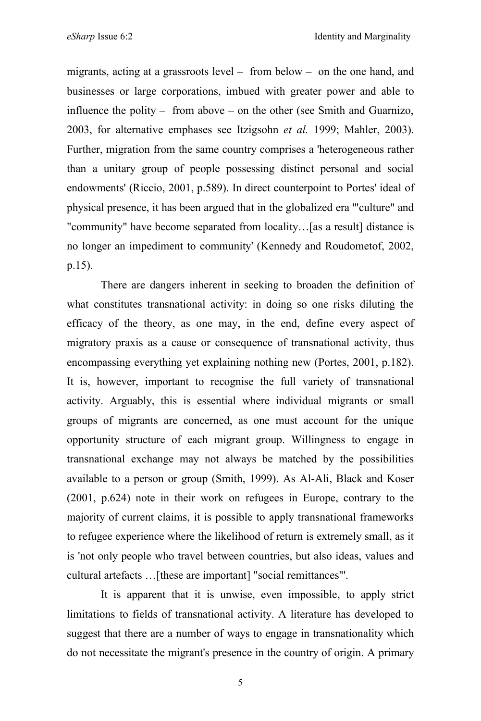migrants, acting at a grassroots level – from below – on the one hand, and businesses or large corporations, imbued with greater power and able to influence the polity – from above – on the other (see Smith and Guarnizo, 2003, for alternative emphases see Itzigsohn *et al.* 1999; Mahler, 2003). Further, migration from the same country comprises a 'heterogeneous rather than a unitary group of people possessing distinct personal and social endowments' (Riccio, 2001, p.589). In direct counterpoint to Portes' ideal of physical presence, it has been argued that in the globalized era '"culture" and "community" have become separated from locality…[as a result] distance is no longer an impediment to community' (Kennedy and Roudometof, 2002, p.15).

There are dangers inherent in seeking to broaden the definition of what constitutes transnational activity: in doing so one risks diluting the efficacy of the theory, as one may, in the end, define every aspect of migratory praxis as a cause or consequence of transnational activity, thus encompassing everything yet explaining nothing new (Portes, 2001, p.182). It is, however, important to recognise the full variety of transnational activity. Arguably, this is essential where individual migrants or small groups of migrants are concerned, as one must account for the unique opportunity structure of each migrant group. Willingness to engage in transnational exchange may not always be matched by the possibilities available to a person or group (Smith, 1999). As Al-Ali, Black and Koser (2001, p.624) note in their work on refugees in Europe, contrary to the majority of current claims, it is possible to apply transnational frameworks to refugee experience where the likelihood of return is extremely small, as it is 'not only people who travel between countries, but also ideas, values and cultural artefacts …[these are important] "social remittances"'.

It is apparent that it is unwise, even impossible, to apply strict limitations to fields of transnational activity. A literature has developed to suggest that there are a number of ways to engage in transnationality which do not necessitate the migrant's presence in the country of origin. A primary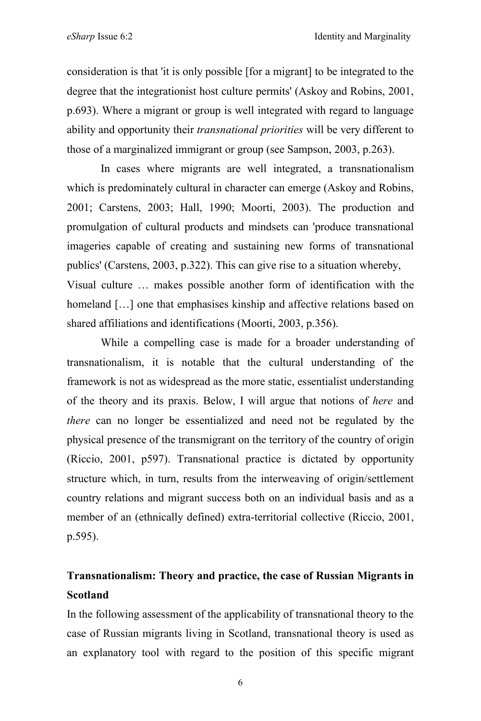consideration is that 'it is only possible [for a migrant] to be integrated to the degree that the integrationist host culture permits' (Askoy and Robins, 2001, p.693). Where a migrant or group is well integrated with regard to language ability and opportunity their *transnational priorities* will be very different to those of a marginalized immigrant or group (see Sampson, 2003, p.263).

In cases where migrants are well integrated, a transnationalism which is predominately cultural in character can emerge (Askoy and Robins, 2001; Carstens, 2003; Hall, 1990; Moorti, 2003). The production and promulgation of cultural products and mindsets can 'produce transnational imageries capable of creating and sustaining new forms of transnational publics' (Carstens, 2003, p.322). This can give rise to a situation whereby, Visual culture … makes possible another form of identification with the homeland [...] one that emphasises kinship and affective relations based on shared affiliations and identifications (Moorti, 2003, p.356).

While a compelling case is made for a broader understanding of transnationalism, it is notable that the cultural understanding of the framework is not as widespread as the more static, essentialist understanding of the theory and its praxis. Below, I will argue that notions of *here* and *there* can no longer be essentialized and need not be regulated by the physical presence of the transmigrant on the territory of the country of origin (Riccio, 2001, p597). Transnational practice is dictated by opportunity structure which, in turn, results from the interweaving of origin/settlement country relations and migrant success both on an individual basis and as a member of an (ethnically defined) extra-territorial collective (Riccio, 2001, p.595).

# **Transnationalism: Theory and practice, the case of Russian Migrants in Scotland**

In the following assessment of the applicability of transnational theory to the case of Russian migrants living in Scotland, transnational theory is used as an explanatory tool with regard to the position of this specific migrant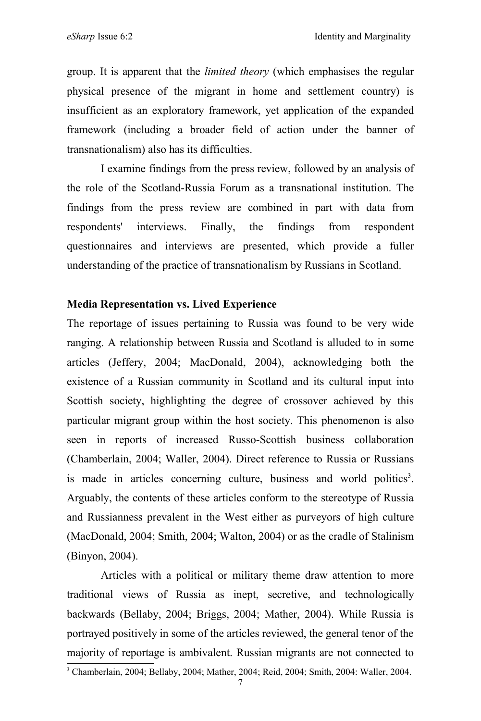group. It is apparent that the *limited theory* (which emphasises the regular physical presence of the migrant in home and settlement country) is insufficient as an exploratory framework, yet application of the expanded framework (including a broader field of action under the banner of transnationalism) also has its difficulties.

I examine findings from the press review, followed by an analysis of the role of the Scotland-Russia Forum as a transnational institution. The findings from the press review are combined in part with data from respondents' interviews. Finally, the findings from respondent questionnaires and interviews are presented, which provide a fuller understanding of the practice of transnationalism by Russians in Scotland.

#### **Media Representation vs. Lived Experience**

The reportage of issues pertaining to Russia was found to be very wide ranging. A relationship between Russia and Scotland is alluded to in some articles (Jeffery, 2004; MacDonald, 2004), acknowledging both the existence of a Russian community in Scotland and its cultural input into Scottish society, highlighting the degree of crossover achieved by this particular migrant group within the host society. This phenomenon is also seen in reports of increased Russo-Scottish business collaboration (Chamberlain, 2004; Waller, 2004). Direct reference to Russia or Russians is made in articles concerning culture, business and world politics<sup>3</sup>. Arguably, the contents of these articles conform to the stereotype of Russia and Russianness prevalent in the West either as purveyors of high culture (MacDonald, 2004; Smith, 2004; Walton, 2004) or as the cradle of Stalinism (Binyon, 2004).

Articles with a political or military theme draw attention to more traditional views of Russia as inept, secretive, and technologically backwards (Bellaby, 2004; Briggs, 2004; Mather, 2004). While Russia is portrayed positively in some of the articles reviewed, the general tenor of the majority of reportage is ambivalent. Russian migrants are not connected to

<sup>3</sup> Chamberlain, 2004; Bellaby, 2004; Mather, 2004; Reid, 2004; Smith, 2004: Waller, 2004.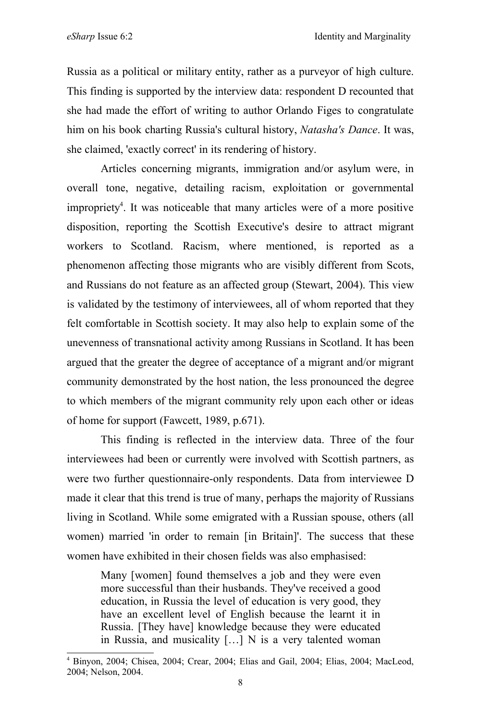Russia as a political or military entity, rather as a purveyor of high culture. This finding is supported by the interview data: respondent D recounted that she had made the effort of writing to author Orlando Figes to congratulate him on his book charting Russia's cultural history, *Natasha's Dance*. It was, she claimed, 'exactly correct' in its rendering of history.

Articles concerning migrants, immigration and/or asylum were, in overall tone, negative, detailing racism, exploitation or governmental impropriety 4 . It was noticeable that many articles were of a more positive disposition, reporting the Scottish Executive's desire to attract migrant workers to Scotland. Racism, where mentioned, is reported as a phenomenon affecting those migrants who are visibly different from Scots, and Russians do not feature as an affected group (Stewart, 2004). This view is validated by the testimony of interviewees, all of whom reported that they felt comfortable in Scottish society. It may also help to explain some of the unevenness of transnational activity among Russians in Scotland. It has been argued that the greater the degree of acceptance of a migrant and/or migrant community demonstrated by the host nation, the less pronounced the degree to which members of the migrant community rely upon each other or ideas of home for support (Fawcett, 1989, p.671).

This finding is reflected in the interview data. Three of the four interviewees had been or currently were involved with Scottish partners, as were two further questionnaire-only respondents. Data from interviewee D made it clear that this trend is true of many, perhaps the majority of Russians living in Scotland. While some emigrated with a Russian spouse, others (all women) married 'in order to remain [in Britain]'. The success that these women have exhibited in their chosen fields was also emphasised:

Many [women] found themselves a job and they were even more successful than their husbands. They've received a good education, in Russia the level of education is very good, they have an excellent level of English because the learnt it in Russia. [They have] knowledge because they were educated in Russia, and musicality […] N is a very talented woman

<sup>4</sup> Binyon, 2004; Chisea, 2004; Crear, 2004; Elias and Gail, 2004; Elias, 2004; MacLeod, 2004; Nelson, 2004.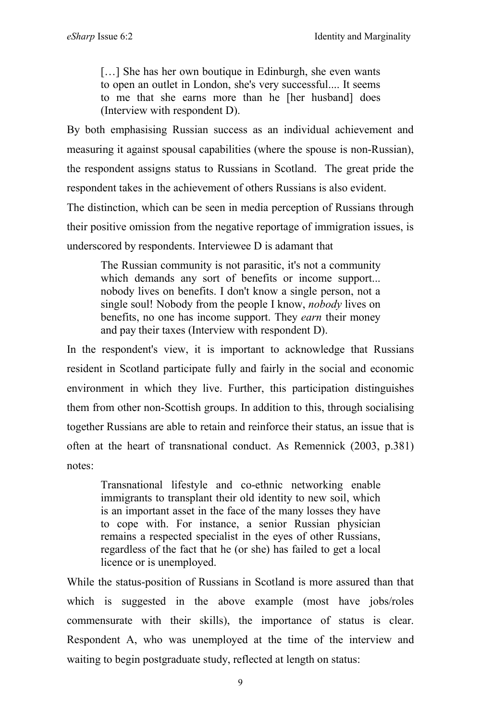[...] She has her own boutique in Edinburgh, she even wants to open an outlet in London, she's very successful.... It seems to me that she earns more than he [her husband] does (Interview with respondent D).

By both emphasising Russian success as an individual achievement and measuring it against spousal capabilities (where the spouse is non-Russian), the respondent assigns status to Russians in Scotland. The great pride the respondent takes in the achievement of others Russians is also evident. The distinction, which can be seen in media perception of Russians through their positive omission from the negative reportage of immigration issues, is underscored by respondents. Interviewee D is adamant that

The Russian community is not parasitic, it's not a community which demands any sort of benefits or income support... nobody lives on benefits. I don't know a single person, not a single soul! Nobody from the people I know, *nobody* lives on benefits, no one has income support. They *earn* their money and pay their taxes (Interview with respondent D).

In the respondent's view, it is important to acknowledge that Russians resident in Scotland participate fully and fairly in the social and economic environment in which they live. Further, this participation distinguishes them from other non-Scottish groups. In addition to this, through socialising together Russians are able to retain and reinforce their status, an issue that is often at the heart of transnational conduct. As Remennick (2003, p.381) notes:

Transnational lifestyle and co-ethnic networking enable immigrants to transplant their old identity to new soil, which is an important asset in the face of the many losses they have to cope with. For instance, a senior Russian physician remains a respected specialist in the eyes of other Russians, regardless of the fact that he (or she) has failed to get a local licence or is unemployed.

While the status-position of Russians in Scotland is more assured than that which is suggested in the above example (most have jobs/roles commensurate with their skills), the importance of status is clear. Respondent A, who was unemployed at the time of the interview and waiting to begin postgraduate study, reflected at length on status: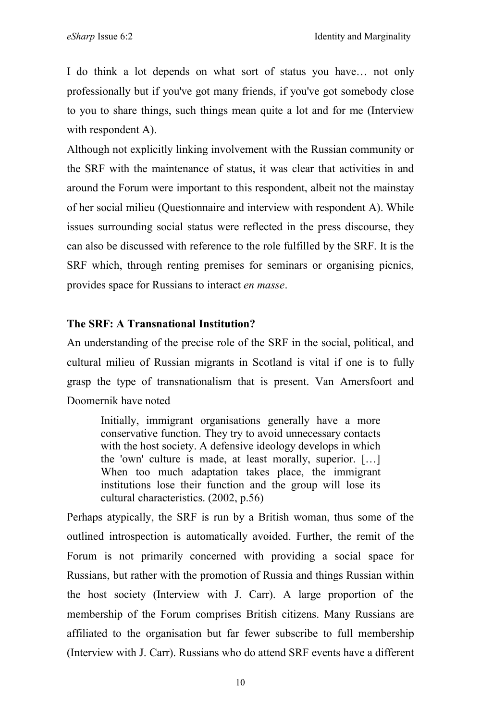I do think a lot depends on what sort of status you have… not only professionally but if you've got many friends, if you've got somebody close to you to share things, such things mean quite a lot and for me (Interview with respondent A).

Although not explicitly linking involvement with the Russian community or the SRF with the maintenance of status, it was clear that activities in and around the Forum were important to this respondent, albeit not the mainstay of her social milieu (Questionnaire and interview with respondent A). While issues surrounding social status were reflected in the press discourse, they can also be discussed with reference to the role fulfilled by the SRF. It is the SRF which, through renting premises for seminars or organising picnics, provides space for Russians to interact *en masse*.

## **The SRF: A Transnational Institution?**

An understanding of the precise role of the SRF in the social, political, and cultural milieu of Russian migrants in Scotland is vital if one is to fully grasp the type of transnationalism that is present. Van Amersfoort and Doomernik have noted

Initially, immigrant organisations generally have a more conservative function. They try to avoid unnecessary contacts with the host society. A defensive ideology develops in which the 'own' culture is made, at least morally, superior. […] When too much adaptation takes place, the immigrant institutions lose their function and the group will lose its cultural characteristics. (2002, p.56)

Perhaps atypically, the SRF is run by a British woman, thus some of the outlined introspection is automatically avoided. Further, the remit of the Forum is not primarily concerned with providing a social space for Russians, but rather with the promotion of Russia and things Russian within the host society (Interview with J. Carr). A large proportion of the membership of the Forum comprises British citizens. Many Russians are affiliated to the organisation but far fewer subscribe to full membership (Interview with J. Carr). Russians who do attend SRF events have a different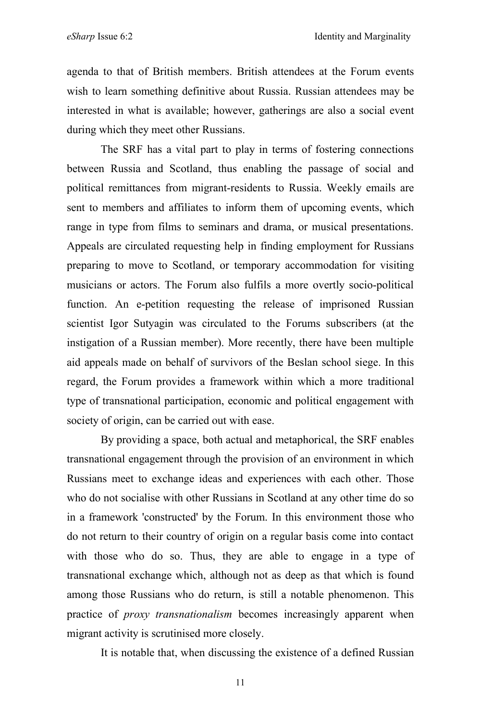agenda to that of British members. British attendees at the Forum events wish to learn something definitive about Russia. Russian attendees may be interested in what is available; however, gatherings are also a social event during which they meet other Russians.

The SRF has a vital part to play in terms of fostering connections between Russia and Scotland, thus enabling the passage of social and political remittances from migrant-residents to Russia. Weekly emails are sent to members and affiliates to inform them of upcoming events, which range in type from films to seminars and drama, or musical presentations. Appeals are circulated requesting help in finding employment for Russians preparing to move to Scotland, or temporary accommodation for visiting musicians or actors. The Forum also fulfils a more overtly socio-political function. An e-petition requesting the release of imprisoned Russian scientist Igor Sutyagin was circulated to the Forums subscribers (at the instigation of a Russian member). More recently, there have been multiple aid appeals made on behalf of survivors of the Beslan school siege. In this regard, the Forum provides a framework within which a more traditional type of transnational participation, economic and political engagement with society of origin, can be carried out with ease.

By providing a space, both actual and metaphorical, the SRF enables transnational engagement through the provision of an environment in which Russians meet to exchange ideas and experiences with each other. Those who do not socialise with other Russians in Scotland at any other time do so in a framework 'constructed' by the Forum. In this environment those who do not return to their country of origin on a regular basis come into contact with those who do so. Thus, they are able to engage in a type of transnational exchange which, although not as deep as that which is found among those Russians who do return, is still a notable phenomenon. This practice of *proxy transnationalism* becomes increasingly apparent when migrant activity is scrutinised more closely.

It is notable that, when discussing the existence of a defined Russian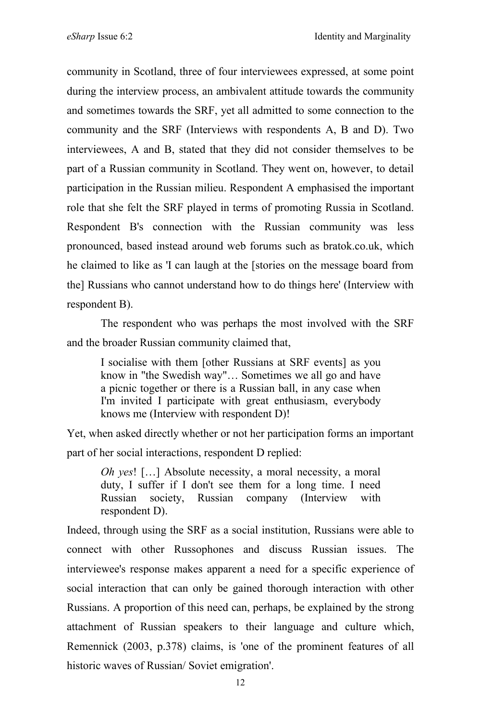community in Scotland, three of four interviewees expressed, at some point during the interview process, an ambivalent attitude towards the community and sometimes towards the SRF, yet all admitted to some connection to the community and the SRF (Interviews with respondents A, B and D). Two interviewees, A and B, stated that they did not consider themselves to be part of a Russian community in Scotland. They went on, however, to detail participation in the Russian milieu. Respondent A emphasised the important role that she felt the SRF played in terms of promoting Russia in Scotland. Respondent B's connection with the Russian community was less pronounced, based instead around web forums such as bratok.co.uk, which he claimed to like as 'I can laugh at the [stories on the message board from the] Russians who cannot understand how to do things here' (Interview with respondent B).

The respondent who was perhaps the most involved with the SRF and the broader Russian community claimed that,

I socialise with them [other Russians at SRF events] as you know in "the Swedish way"… Sometimes we all go and have a picnic together or there is a Russian ball, in any case when I'm invited I participate with great enthusiasm, everybody knows me (Interview with respondent D)!

Yet, when asked directly whether or not her participation forms an important part of her social interactions, respondent D replied:

*Oh yes*! […] Absolute necessity, a moral necessity, a moral duty, I suffer if I don't see them for a long time. I need Russian society, Russian company (Interview with respondent D).

Indeed, through using the SRF as a social institution, Russians were able to connect with other Russophones and discuss Russian issues. The interviewee's response makes apparent a need for a specific experience of social interaction that can only be gained thorough interaction with other Russians. A proportion of this need can, perhaps, be explained by the strong attachment of Russian speakers to their language and culture which, Remennick (2003, p.378) claims, is 'one of the prominent features of all historic waves of Russian/ Soviet emigration'.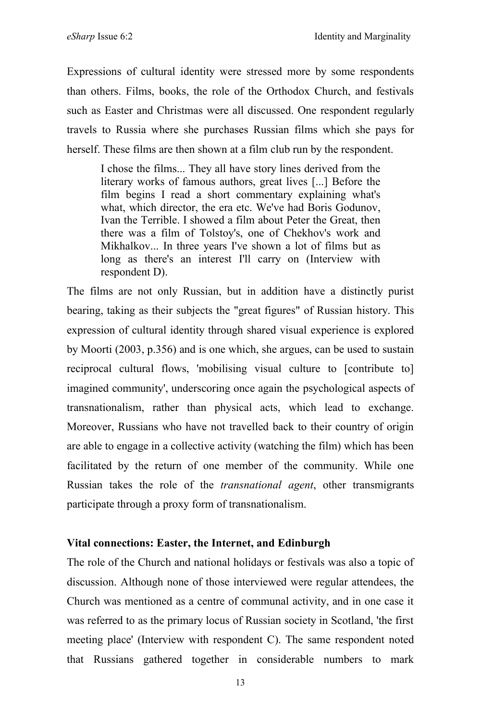Expressions of cultural identity were stressed more by some respondents than others. Films, books, the role of the Orthodox Church, and festivals such as Easter and Christmas were all discussed. One respondent regularly travels to Russia where she purchases Russian films which she pays for herself. These films are then shown at a film club run by the respondent.

I chose the films... They all have story lines derived from the literary works of famous authors, great lives [...] Before the film begins I read a short commentary explaining what's what, which director, the era etc. We've had Boris Godunov, Ivan the Terrible. I showed a film about Peter the Great, then there was a film of Tolstoy's, one of Chekhov's work and Mikhalkov... In three years I've shown a lot of films but as long as there's an interest I'll carry on (Interview with respondent D).

The films are not only Russian, but in addition have a distinctly purist bearing, taking as their subjects the "great figures" of Russian history. This expression of cultural identity through shared visual experience is explored by Moorti (2003, p.356) and is one which, she argues, can be used to sustain reciprocal cultural flows, 'mobilising visual culture to [contribute to] imagined community', underscoring once again the psychological aspects of transnationalism, rather than physical acts, which lead to exchange. Moreover, Russians who have not travelled back to their country of origin are able to engage in a collective activity (watching the film) which has been facilitated by the return of one member of the community. While one Russian takes the role of the *transnational agent*, other transmigrants participate through a proxy form of transnationalism.

# **Vital connections: Easter, the Internet, and Edinburgh**

The role of the Church and national holidays or festivals was also a topic of discussion. Although none of those interviewed were regular attendees, the Church was mentioned as a centre of communal activity, and in one case it was referred to as the primary locus of Russian society in Scotland, 'the first meeting place' (Interview with respondent C). The same respondent noted that Russians gathered together in considerable numbers to mark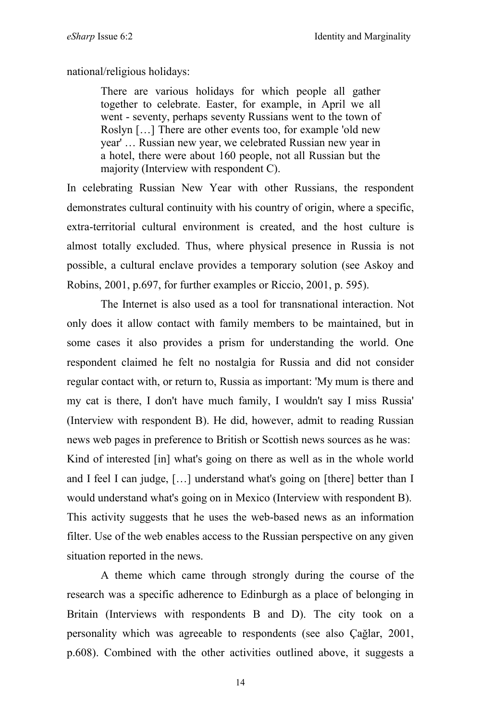national/religious holidays:

There are various holidays for which people all gather together to celebrate. Easter, for example, in April we all went - seventy, perhaps seventy Russians went to the town of Roslyn […] There are other events too, for example 'old new year' … Russian new year, we celebrated Russian new year in a hotel, there were about 160 people, not all Russian but the majority (Interview with respondent C).

In celebrating Russian New Year with other Russians, the respondent demonstrates cultural continuity with his country of origin, where a specific, extra-territorial cultural environment is created, and the host culture is almost totally excluded. Thus, where physical presence in Russia is not possible, a cultural enclave provides a temporary solution (see Askoy and Robins, 2001, p.697, for further examples or Riccio, 2001, p. 595).

The Internet is also used as a tool for transnational interaction. Not only does it allow contact with family members to be maintained, but in some cases it also provides a prism for understanding the world. One respondent claimed he felt no nostalgia for Russia and did not consider regular contact with, or return to, Russia as important: 'My mum is there and my cat is there, I don't have much family, I wouldn't say I miss Russia' (Interview with respondent B). He did, however, admit to reading Russian news web pages in preference to British or Scottish news sources as he was: Kind of interested [in] what's going on there as well as in the whole world and I feel I can judge, […] understand what's going on [there] better than I would understand what's going on in Mexico (Interview with respondent B). This activity suggests that he uses the web-based news as an information filter. Use of the web enables access to the Russian perspective on any given situation reported in the news.

A theme which came through strongly during the course of the research was a specific adherence to Edinburgh as a place of belonging in Britain (Interviews with respondents B and D). The city took on a personality which was agreeable to respondents (see also Çağlar, 2001, p.608). Combined with the other activities outlined above, it suggests a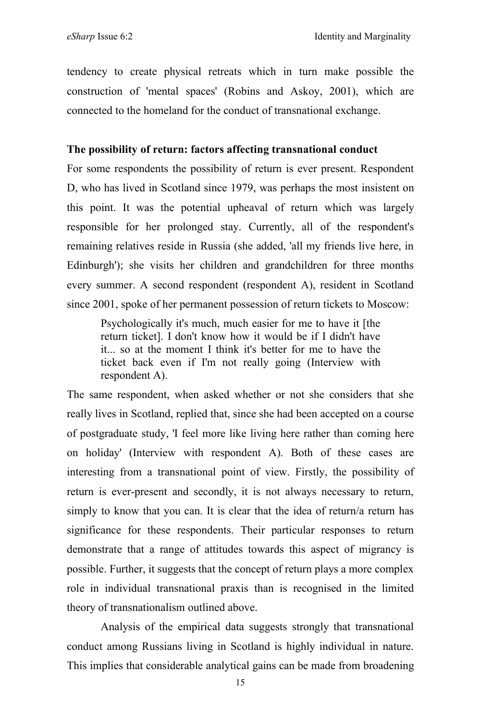tendency to create physical retreats which in turn make possible the construction of 'mental spaces' (Robins and Askoy, 2001), which are connected to the homeland for the conduct of transnational exchange.

#### **The possibility of return: factors affecting transnational conduct**

For some respondents the possibility of return is ever present. Respondent D, who has lived in Scotland since 1979, was perhaps the most insistent on this point. It was the potential upheaval of return which was largely responsible for her prolonged stay. Currently, all of the respondent's remaining relatives reside in Russia (she added, 'all my friends live here, in Edinburgh'); she visits her children and grandchildren for three months every summer. A second respondent (respondent A), resident in Scotland since 2001, spoke of her permanent possession of return tickets to Moscow:

Psychologically it's much, much easier for me to have it [the return ticket]. I don't know how it would be if I didn't have it... so at the moment I think it's better for me to have the ticket back even if I'm not really going (Interview with respondent A).

The same respondent, when asked whether or not she considers that she really lives in Scotland, replied that, since she had been accepted on a course of postgraduate study, 'I feel more like living here rather than coming here on holiday' (Interview with respondent A). Both of these cases are interesting from a transnational point of view. Firstly, the possibility of return is ever-present and secondly, it is not always necessary to return, simply to know that you can. It is clear that the idea of return/a return has significance for these respondents. Their particular responses to return demonstrate that a range of attitudes towards this aspect of migrancy is possible. Further, it suggests that the concept of return plays a more complex role in individual transnational praxis than is recognised in the limited theory of transnationalism outlined above.

Analysis of the empirical data suggests strongly that transnational conduct among Russians living in Scotland is highly individual in nature. This implies that considerable analytical gains can be made from broadening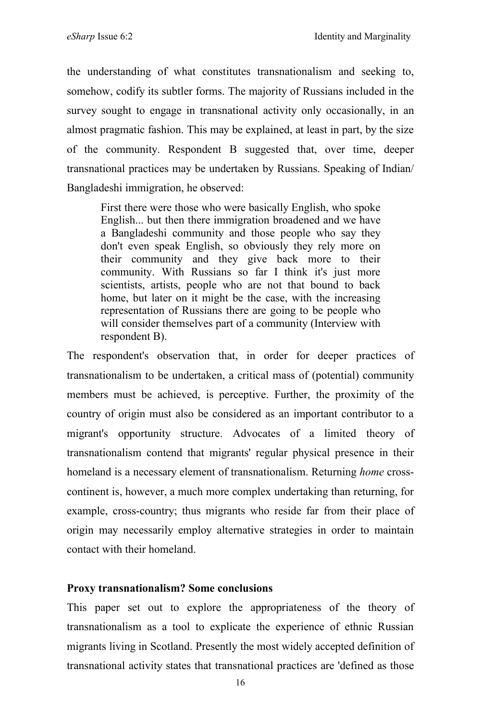the understanding of what constitutes transnationalism and seeking to, somehow, codify its subtler forms. The majority of Russians included in the survey sought to engage in transnational activity only occasionally, in an almost pragmatic fashion. This may be explained, at least in part, by the size of the community. Respondent B suggested that, over time, deeper transnational practices may be undertaken by Russians. Speaking of Indian/ Bangladeshi immigration, he observed:

First there were those who were basically English, who spoke English... but then there immigration broadened and we have a Bangladeshi community and those people who say they don't even speak English, so obviously they rely more on their community and they give back more to their community. With Russians so far I think it's just more scientists, artists, people who are not that bound to back home, but later on it might be the case, with the increasing representation of Russians there are going to be people who will consider themselves part of a community (Interview with respondent B).

The respondent's observation that, in order for deeper practices of transnationalism to be undertaken, a critical mass of (potential) community members must be achieved, is perceptive. Further, the proximity of the country of origin must also be considered as an important contributor to a migrant's opportunity structure. Advocates of a limited theory of transnationalism contend that migrants' regular physical presence in their homeland is a necessary element of transnationalism. Returning *home* crosscontinent is, however, a much more complex undertaking than returning, for example, cross-country; thus migrants who reside far from their place of origin may necessarily employ alternative strategies in order to maintain contact with their homeland.

#### **Proxy transnationalism? Some conclusions**

This paper set out to explore the appropriateness of the theory of transnationalism as a tool to explicate the experience of ethnic Russian migrants living in Scotland. Presently the most widely accepted definition of transnational activity states that transnational practices are 'defined as those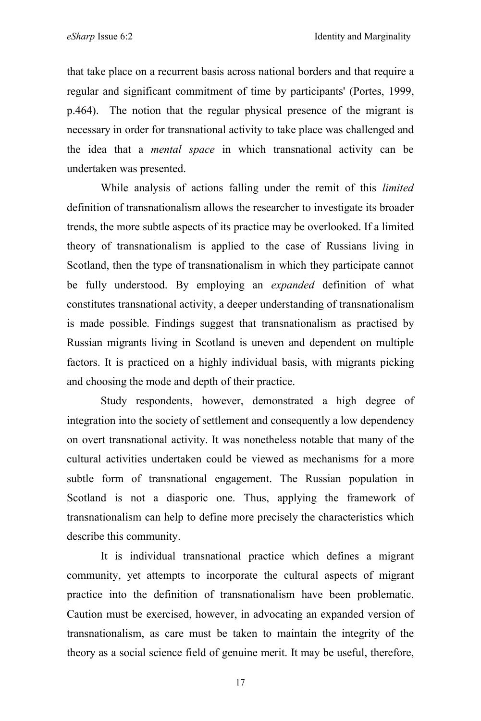that take place on a recurrent basis across national borders and that require a regular and significant commitment of time by participants' (Portes, 1999, p.464). The notion that the regular physical presence of the migrant is necessary in order for transnational activity to take place was challenged and the idea that a *mental space* in which transnational activity can be undertaken was presented.

While analysis of actions falling under the remit of this *limited* definition of transnationalism allows the researcher to investigate its broader trends, the more subtle aspects of its practice may be overlooked. If a limited theory of transnationalism is applied to the case of Russians living in Scotland, then the type of transnationalism in which they participate cannot be fully understood. By employing an *expanded* definition of what constitutes transnational activity, a deeper understanding of transnationalism is made possible. Findings suggest that transnationalism as practised by Russian migrants living in Scotland is uneven and dependent on multiple factors. It is practiced on a highly individual basis, with migrants picking and choosing the mode and depth of their practice.

Study respondents, however, demonstrated a high degree of integration into the society of settlement and consequently a low dependency on overt transnational activity. It was nonetheless notable that many of the cultural activities undertaken could be viewed as mechanisms for a more subtle form of transnational engagement. The Russian population in Scotland is not a diasporic one. Thus, applying the framework of transnationalism can help to define more precisely the characteristics which describe this community.

It is individual transnational practice which defines a migrant community, yet attempts to incorporate the cultural aspects of migrant practice into the definition of transnationalism have been problematic. Caution must be exercised, however, in advocating an expanded version of transnationalism, as care must be taken to maintain the integrity of the theory as a social science field of genuine merit. It may be useful, therefore,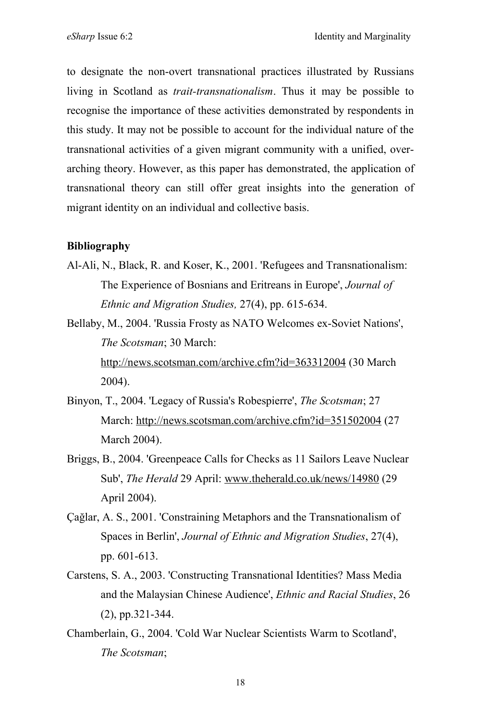to designate the non-overt transnational practices illustrated by Russians living in Scotland as *trait-transnationalism*. Thus it may be possible to recognise the importance of these activities demonstrated by respondents in this study. It may not be possible to account for the individual nature of the transnational activities of a given migrant community with a unified, overarching theory. However, as this paper has demonstrated, the application of transnational theory can still offer great insights into the generation of migrant identity on an individual and collective basis.

## **Bibliography**

- Al-Ali, N., Black, R. and Koser, K., 2001. 'Refugees and Transnationalism: The Experience of Bosnians and Eritreans in Europe', *Journal of Ethnic and Migration Studies,* 27(4), pp. 615-634.
- Bellaby, M., 2004. 'Russia Frosty as NATO Welcomes ex-Soviet Nations', *The Scotsman*; 30 March: http://news.scotsman.com/archive.cfm?id=363312004 (30 March 2004).
- Binyon, T., 2004. 'Legacy of Russia's Robespierre', *The Scotsman*; 27 March: http://news.scotsman.com/archive.cfm?id=351502004 (27 March 2004).
- Briggs, B., 2004. 'Greenpeace Calls for Checks as 11 Sailors Leave Nuclear Sub', *The Herald* 29 April: www.theherald.co.uk/news/14980 (29 April 2004).
- Çağlar, A. S., 2001. 'Constraining Metaphors and the Transnationalism of Spaces in Berlin', *Journal of Ethnic and Migration Studies*, 27(4), pp. 601-613.
- Carstens, S. A., 2003. 'Constructing Transnational Identities? Mass Media and the Malaysian Chinese Audience', *Ethnic and Racial Studies*, 26 (2), pp.321-344.
- Chamberlain, G., 2004. 'Cold War Nuclear Scientists Warm to Scotland', *The Scotsman*;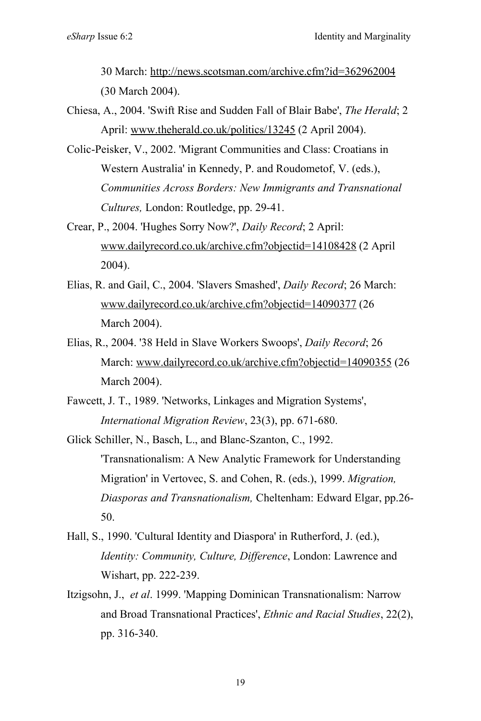30 March: http://news.scotsman.com/archive.cfm?id=362962004 (30 March 2004).

- Chiesa, A., 2004. 'Swift Rise and Sudden Fall of Blair Babe', *The Herald*; 2 April: www.theherald.co.uk/politics/13245 (2 April 2004).
- Colic-Peisker, V., 2002. 'Migrant Communities and Class: Croatians in Western Australia' in Kennedy, P. and Roudometof, V. (eds.), *Communities Across Borders: New Immigrants and Transnational Cultures,* London: Routledge, pp. 29-41.
- Crear, P., 2004. 'Hughes Sorry Now?', *Daily Record*; 2 April: www.dailyrecord.co.uk/archive.cfm?objectid=14108428 (2 April 2004).
- Elias, R. and Gail, C., 2004. 'Slavers Smashed', *Daily Record*; 26 March: www.dailyrecord.co.uk/archive.cfm?objectid=14090377 (26 March 2004).
- Elias, R., 2004. '38 Held in Slave Workers Swoops', *Daily Record*; 26 March: www.dailyrecord.co.uk/archive.cfm?objectid=14090355 (26 March 2004).
- Fawcett, J. T., 1989. 'Networks, Linkages and Migration Systems', *International Migration Review*, 23(3), pp. 671-680.

Glick Schiller, N., Basch, L., and Blanc-Szanton, C., 1992. 'Transnationalism: A New Analytic Framework for Understanding Migration' in Vertovec, S. and Cohen, R. (eds.), 1999. *Migration, Diasporas and Transnationalism,* Cheltenham: Edward Elgar, pp.26- 50.

- Hall, S., 1990. 'Cultural Identity and Diaspora' in Rutherford, J. (ed.), *Identity: Community, Culture, Difference*, London: Lawrence and Wishart, pp. 222-239.
- Itzigsohn, J., *et al*. 1999. 'Mapping Dominican Transnationalism: Narrow and Broad Transnational Practices', *Ethnic and Racial Studies*, 22(2), pp. 316-340.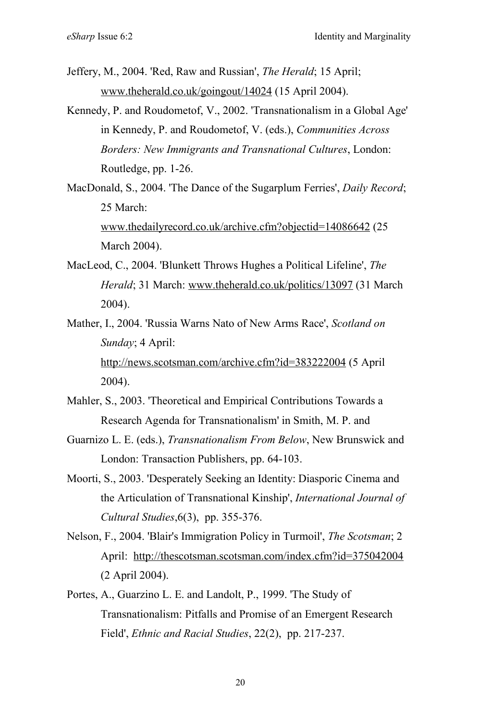- Jeffery, M., 2004. 'Red, Raw and Russian', *The Herald*; 15 April; www.theherald.co.uk/goingout/14024 (15 April 2004).
- Kennedy, P. and Roudometof, V., 2002. 'Transnationalism in a Global Age' in Kennedy, P. and Roudometof, V. (eds.), *Communities Across Borders: New Immigrants and Transnational Cultures*, London: Routledge, pp. 1-26.
- MacDonald, S., 2004. 'The Dance of the Sugarplum Ferries', *Daily Record*; 25 March: www.thedailyrecord.co.uk/archive.cfm?objectid=14086642 (25 March 2004).
- MacLeod, C., 2004. 'Blunkett Throws Hughes a Political Lifeline', *The Herald*; 31 March: www.theherald.co.uk/politics/13097 (31 March 2004).
- Mather, I., 2004. 'Russia Warns Nato of New Arms Race', *Scotland on Sunday*; 4 April: http://news.scotsman.com/archive.cfm?id=383222004 (5 April 2004).
- Mahler, S., 2003. 'Theoretical and Empirical Contributions Towards a Research Agenda for Transnationalism' in Smith, M. P. and
- Guarnizo L. E. (eds.), *Transnationalism From Below*, New Brunswick and London: Transaction Publishers, pp. 64-103.
- Moorti, S., 2003. 'Desperately Seeking an Identity: Diasporic Cinema and the Articulation of Transnational Kinship', *International Journal of Cultural Studies*,6(3), pp. 355-376.
- Nelson, F., 2004. 'Blair's Immigration Policy in Turmoil', *The Scotsman*; 2 April: http://thescotsman.scotsman.com/index.cfm?id=375042004 (2 April 2004).
- Portes, A., Guarzino L. E. and Landolt, P., 1999. 'The Study of Transnationalism: Pitfalls and Promise of an Emergent Research Field', *Ethnic and Racial Studies*, 22(2), pp. 217-237.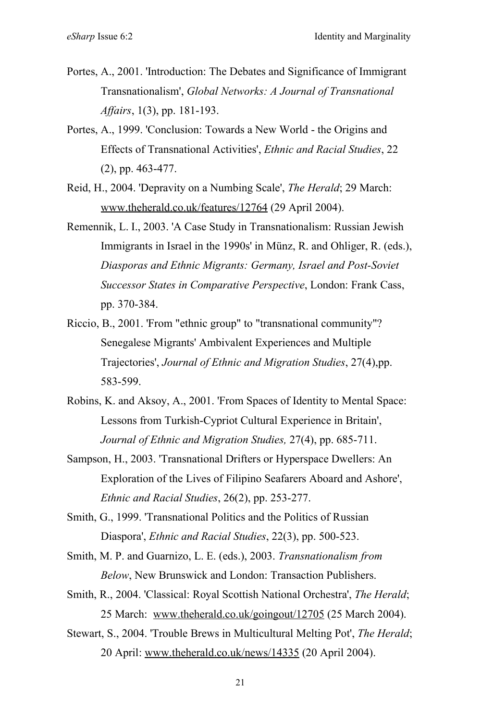- Portes, A., 2001. 'Introduction: The Debates and Significance of Immigrant Transnationalism', *Global Networks: A Journal of Transnational Affairs*, 1(3), pp. 181-193.
- Portes, A., 1999. 'Conclusion: Towards a New World the Origins and Effects of Transnational Activities', *Ethnic and Racial Studies*, 22 (2), pp. 463-477.
- Reid, H., 2004. 'Depravity on a Numbing Scale', *The Herald*; 29 March: www.theherald.co.uk/features/12764 (29 April 2004).
- Remennik, L. I., 2003. 'A Case Study in Transnationalism: Russian Jewish Immigrants in Israel in the 1990s' in Münz, R. and Ohliger, R. (eds.), *Diasporas and Ethnic Migrants: Germany, Israel and Post-Soviet Successor States in Comparative Perspective*, London: Frank Cass, pp. 370-384.
- Riccio, B., 2001. 'From "ethnic group" to "transnational community"? Senegalese Migrants' Ambivalent Experiences and Multiple Trajectories', *Journal of Ethnic and Migration Studies*, 27(4),pp. 583-599.
- Robins, K. and Aksoy, A., 2001. 'From Spaces of Identity to Mental Space: Lessons from Turkish-Cypriot Cultural Experience in Britain', *Journal of Ethnic and Migration Studies,* 27(4), pp. 685-711.
- Sampson, H., 2003. 'Transnational Drifters or Hyperspace Dwellers: An Exploration of the Lives of Filipino Seafarers Aboard and Ashore', *Ethnic and Racial Studies*, 26(2), pp. 253-277.
- Smith, G., 1999. 'Transnational Politics and the Politics of Russian Diaspora', *Ethnic and Racial Studies*, 22(3), pp. 500-523.
- Smith, M. P. and Guarnizo, L. E. (eds.), 2003. *Transnationalism from Below*, New Brunswick and London: Transaction Publishers.
- Smith, R., 2004. 'Classical: Royal Scottish National Orchestra', *The Herald*; 25 March: www.theherald.co.uk/goingout/12705 (25 March 2004).
- Stewart, S., 2004. 'Trouble Brews in Multicultural Melting Pot', *The Herald*; 20 April: www.theherald.co.uk/news/14335 (20 April 2004).